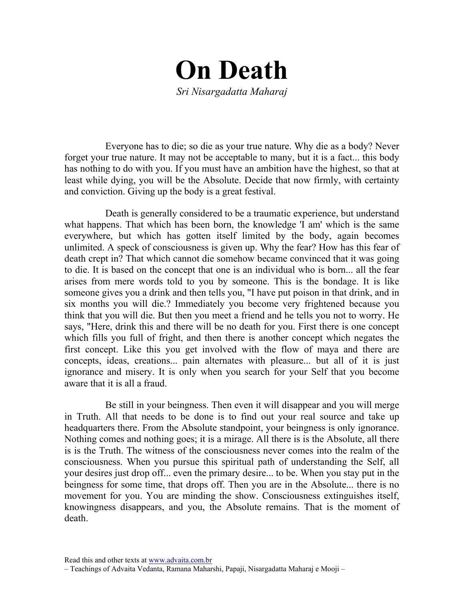

Everyone has to die; so die as your true nature. Why die as a body? Never forget your true nature. It may not be acceptable to many, but it is a fact... this body has nothing to do with you. If you must have an ambition have the highest, so that at least while dying, you will be the Absolute. Decide that now firmly, with certainty and conviction. Giving up the body is a great festival.

Death is generally considered to be a traumatic experience, but understand what happens. That which has been born, the knowledge 'I am' which is the same everywhere, but which has gotten itself limited by the body, again becomes unlimited. A speck of consciousness is given up. Why the fear? How has this fear of death crept in? That which cannot die somehow became convinced that it was going to die. It is based on the concept that one is an individual who is born... all the fear arises from mere words told to you by someone. This is the bondage. It is like someone gives you a drink and then tells you, "I have put poison in that drink, and in six months you will die.? Immediately you become very frightened because you think that you will die. But then you meet a friend and he tells you not to worry. He says, "Here, drink this and there will be no death for you. First there is one concept which fills you full of fright, and then there is another concept which negates the first concept. Like this you get involved with the flow of maya and there are concepts, ideas, creations... pain alternates with pleasure... but all of it is just ignorance and misery. It is only when you search for your Self that you become aware that it is all a fraud.

Be still in your beingness. Then even it will disappear and you will merge in Truth. All that needs to be done is to find out your real source and take up headquarters there. From the Absolute standpoint, your beingness is only ignorance. Nothing comes and nothing goes; it is a mirage. All there is is the Absolute, all there is is the Truth. The witness of the consciousness never comes into the realm of the consciousness. When you pursue this spiritual path of understanding the Self, all your desires just drop off... even the primary desire... to be. When you stay put in the beingness for some time, that drops off. Then you are in the Absolute... there is no movement for you. You are minding the show. Consciousness extinguishes itself, knowingness disappears, and you, the Absolute remains. That is the moment of death.